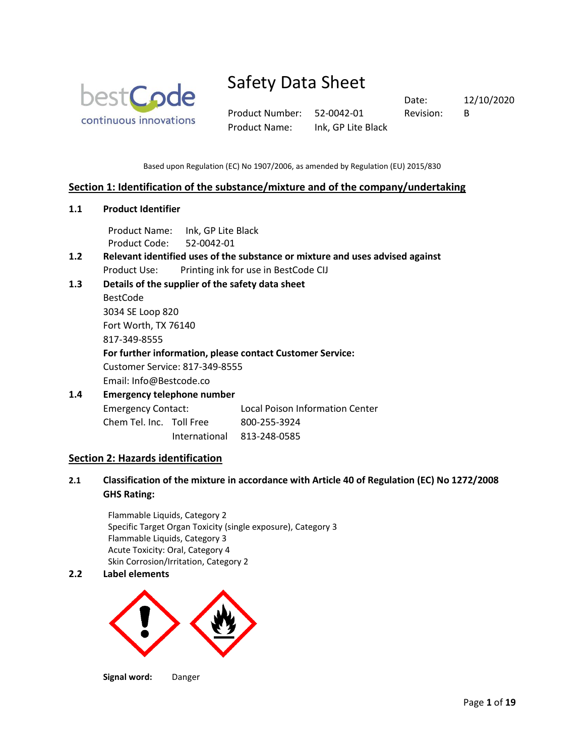

Product Number: 52-0042-01 Revision: B Product Name: Ink, GP Lite Black

Date: 12/10/2020

Based upon Regulation (EC) No 1907/2006, as amended by Regulation (EU) 2015/830

### **Section 1: Identification of the substance/mixture and of the company/undertaking**

**1.1 Product Identifier**

Product Name: Ink, GP Lite Black Product Code: 52-0042-01

- **1.2 Relevant identified uses of the substance or mixture and uses advised against** Product Use: Printing ink for use in BestCode CIJ
- **1.3 Details of the supplier of the safety data sheet**

BestCode 3034 SE Loop 820 Fort Worth, TX 76140 817-349-8555

### **For further information, please contact Customer Service:**

Customer Service: 817-349-8555

Email: Info@Bestcode.co

### **1.4 Emergency telephone number**

Emergency Contact: Local Poison Information Center Chem Tel. Inc. Toll Free 800-255-3924 International 813-248-0585

### **Section 2: Hazards identification**

**2.1 Classification of the mixture in accordance with Article 40 of Regulation (EC) No 1272/2008 GHS Rating:**

Flammable Liquids, Category 2 Specific Target Organ Toxicity (single exposure), Category 3 Flammable Liquids, Category 3 Acute Toxicity: Oral, Category 4 Skin Corrosion/Irritation, Category 2

### **2.2 Label elements**



**Signal word:** Danger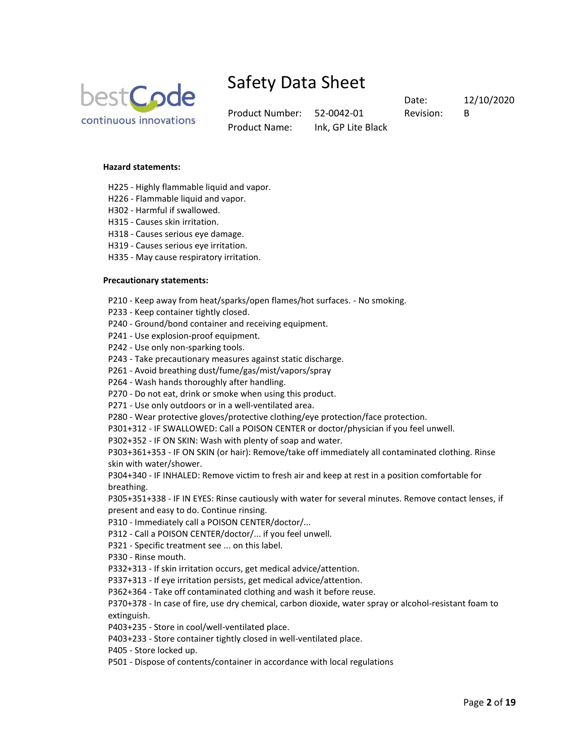

Product Number: 52-0042-01 Revision: B Product Name: Ink, GP Lite Black

Date: 12/10/2020

### **Hazard statements:**

- H225 Highly flammable liquid and vapor.
- H226 Flammable liquid and vapor.
- H302 Harmful if swallowed.
- H315 Causes skin irritation.
- H318 Causes serious eye damage.
- H319 Causes serious eye irritation.
- H335 May cause respiratory irritation.

#### **Precautionary statements:**

- P210 Keep away from heat/sparks/open flames/hot surfaces. No smoking.
- P233 Keep container tightly closed.
- P240 Ground/bond container and receiving equipment.
- P241 Use explosion-proof equipment.
- P242 Use only non-sparking tools.
- P243 Take precautionary measures against static discharge.
- P261 Avoid breathing dust/fume/gas/mist/vapors/spray
- P264 Wash hands thoroughly after handling.
- P270 Do not eat, drink or smoke when using this product.
- P271 Use only outdoors or in a well-ventilated area.
- P280 Wear protective gloves/protective clothing/eye protection/face protection.
- P301+312 IF SWALLOWED: Call a POISON CENTER or doctor/physician if you feel unwell.
- P302+352 IF ON SKIN: Wash with plenty of soap and water.

P303+361+353 - IF ON SKIN (or hair): Remove/take off immediately all contaminated clothing. Rinse skin with water/shower.

P304+340 - IF INHALED: Remove victim to fresh air and keep at rest in a position comfortable for breathing.

P305+351+338 - IF IN EYES: Rinse cautiously with water for several minutes. Remove contact lenses, if present and easy to do. Continue rinsing.

P310 - Immediately call a POISON CENTER/doctor/...

P312 - Call a POISON CENTER/doctor/... if you feel unwell.

- P321 Specific treatment see ... on this label.
- P330 Rinse mouth.

P332+313 - If skin irritation occurs, get medical advice/attention.

P337+313 - If eye irritation persists, get medical advice/attention.

P362+364 - Take off contaminated clothing and wash it before reuse.

P370+378 - In case of fire, use dry chemical, carbon dioxide, water spray or alcohol-resistant foam to extinguish.

P403+235 - Store in cool/well-ventilated place.

P403+233 - Store container tightly closed in well-ventilated place.

P405 - Store locked up.

P501 - Dispose of contents/container in accordance with local regulations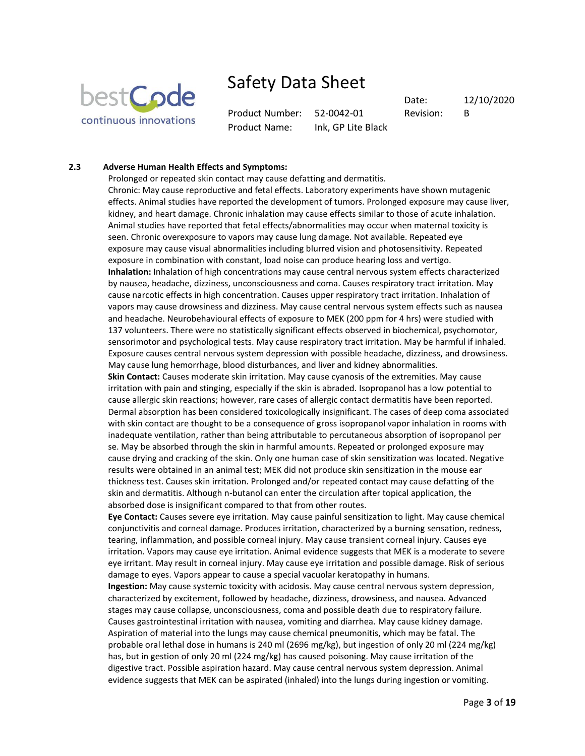

Product Number: 52-0042-01 Revision: B Product Name: Ink, GP Lite Black

Date: 12/10/2020

### **2.3 Adverse Human Health Effects and Symptoms:**

Prolonged or repeated skin contact may cause defatting and dermatitis. Chronic: May cause reproductive and fetal effects. Laboratory experiments have shown mutagenic effects. Animal studies have reported the development of tumors. Prolonged exposure may cause liver, kidney, and heart damage. Chronic inhalation may cause effects similar to those of acute inhalation. Animal studies have reported that fetal effects/abnormalities may occur when maternal toxicity is seen. Chronic overexposure to vapors may cause lung damage. Not available. Repeated eye exposure may cause visual abnormalities including blurred vision and photosensitivity. Repeated exposure in combination with constant, load noise can produce hearing loss and vertigo. **Inhalation:** Inhalation of high concentrations may cause central nervous system effects characterized by nausea, headache, dizziness, unconsciousness and coma. Causes respiratory tract irritation. May cause narcotic effects in high concentration. Causes upper respiratory tract irritation. Inhalation of vapors may cause drowsiness and dizziness. May cause central nervous system effects such as nausea and headache. Neurobehavioural effects of exposure to MEK (200 ppm for 4 hrs) were studied with 137 volunteers. There were no statistically significant effects observed in biochemical, psychomotor, sensorimotor and psychological tests. May cause respiratory tract irritation. May be harmful if inhaled. Exposure causes central nervous system depression with possible headache, dizziness, and drowsiness. May cause lung hemorrhage, blood disturbances, and liver and kidney abnormalities.

**Skin Contact:** Causes moderate skin irritation. May cause cyanosis of the extremities. May cause irritation with pain and stinging, especially if the skin is abraded. Isopropanol has a low potential to cause allergic skin reactions; however, rare cases of allergic contact dermatitis have been reported. Dermal absorption has been considered toxicologically insignificant. The cases of deep coma associated with skin contact are thought to be a consequence of gross isopropanol vapor inhalation in rooms with inadequate ventilation, rather than being attributable to percutaneous absorption of isopropanol per se. May be absorbed through the skin in harmful amounts. Repeated or prolonged exposure may cause drying and cracking of the skin. Only one human case of skin sensitization was located. Negative results were obtained in an animal test; MEK did not produce skin sensitization in the mouse ear thickness test. Causes skin irritation. Prolonged and/or repeated contact may cause defatting of the skin and dermatitis. Although n-butanol can enter the circulation after topical application, the absorbed dose is insignificant compared to that from other routes.

**Eye Contact:** Causes severe eye irritation. May cause painful sensitization to light. May cause chemical conjunctivitis and corneal damage. Produces irritation, characterized by a burning sensation, redness, tearing, inflammation, and possible corneal injury. May cause transient corneal injury. Causes eye irritation. Vapors may cause eye irritation. Animal evidence suggests that MEK is a moderate to severe eye irritant. May result in corneal injury. May cause eye irritation and possible damage. Risk of serious damage to eyes. Vapors appear to cause a special vacuolar keratopathy in humans.

**Ingestion:** May cause systemic toxicity with acidosis. May cause central nervous system depression, characterized by excitement, followed by headache, dizziness, drowsiness, and nausea. Advanced stages may cause collapse, unconsciousness, coma and possible death due to respiratory failure. Causes gastrointestinal irritation with nausea, vomiting and diarrhea. May cause kidney damage. Aspiration of material into the lungs may cause chemical pneumonitis, which may be fatal. The probable oral lethal dose in humans is 240 ml (2696 mg/kg), but ingestion of only 20 ml (224 mg/kg) has, but in gestion of only 20 ml (224 mg/kg) has caused poisoning. May cause irritation of the digestive tract. Possible aspiration hazard. May cause central nervous system depression. Animal evidence suggests that MEK can be aspirated (inhaled) into the lungs during ingestion or vomiting.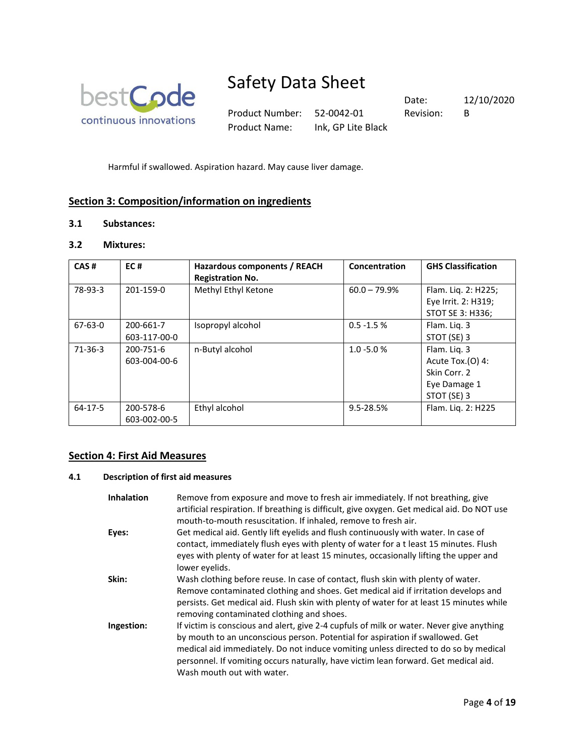

Product Number: 52-0042-01 Revision: B Product Name: Ink, GP Lite Black

Date: 12/10/2020

Harmful if swallowed. Aspiration hazard. May cause liver damage.

### **Section 3: Composition/information on ingredients**

### **3.1 Substances:**

### **3.2 Mixtures:**

| CAS#      | EC#                       | Hazardous components / REACH<br><b>Registration No.</b> | Concentration  | <b>GHS Classification</b>                                                          |
|-----------|---------------------------|---------------------------------------------------------|----------------|------------------------------------------------------------------------------------|
| 78-93-3   | 201-159-0                 | Methyl Ethyl Ketone                                     | $60.0 - 79.9%$ | Flam. Liq. 2: H225;<br>Eye Irrit. 2: H319;<br>STOT SE 3: H336;                     |
| 67-63-0   | 200-661-7<br>603-117-00-0 | Isopropyl alcohol                                       | $0.5 - 1.5 %$  | Flam. Lig. 3<br>STOT (SE) 3                                                        |
| $71-36-3$ | 200-751-6<br>603-004-00-6 | n-Butyl alcohol                                         | $1.0 - 5.0 %$  | Flam. Liq. 3<br>Acute Tox. $(0)$ 4:<br>Skin Corr. 2<br>Eye Damage 1<br>STOT (SE) 3 |
| 64-17-5   | 200-578-6<br>603-002-00-5 | Ethyl alcohol                                           | 9.5-28.5%      | Flam. Lig. 2: H225                                                                 |

### **Section 4: First Aid Measures**

### **4.1 Description of first aid measures**

| <b>Inhalation</b> | Remove from exposure and move to fresh air immediately. If not breathing, give<br>artificial respiration. If breathing is difficult, give oxygen. Get medical aid. Do NOT use<br>mouth-to-mouth resuscitation. If inhaled, remove to fresh air.                                                                                                                                       |
|-------------------|---------------------------------------------------------------------------------------------------------------------------------------------------------------------------------------------------------------------------------------------------------------------------------------------------------------------------------------------------------------------------------------|
| Eyes:             | Get medical aid. Gently lift eyelids and flush continuously with water. In case of<br>contact, immediately flush eyes with plenty of water for a t least 15 minutes. Flush<br>eyes with plenty of water for at least 15 minutes, occasionally lifting the upper and<br>lower evelids.                                                                                                 |
| Skin:             | Wash clothing before reuse. In case of contact, flush skin with plenty of water.<br>Remove contaminated clothing and shoes. Get medical aid if irritation develops and<br>persists. Get medical aid. Flush skin with plenty of water for at least 15 minutes while<br>removing contaminated clothing and shoes.                                                                       |
| Ingestion:        | If victim is conscious and alert, give 2-4 cupfuls of milk or water. Never give anything<br>by mouth to an unconscious person. Potential for aspiration if swallowed. Get<br>medical aid immediately. Do not induce vomiting unless directed to do so by medical<br>personnel. If vomiting occurs naturally, have victim lean forward. Get medical aid.<br>Wash mouth out with water. |
|                   |                                                                                                                                                                                                                                                                                                                                                                                       |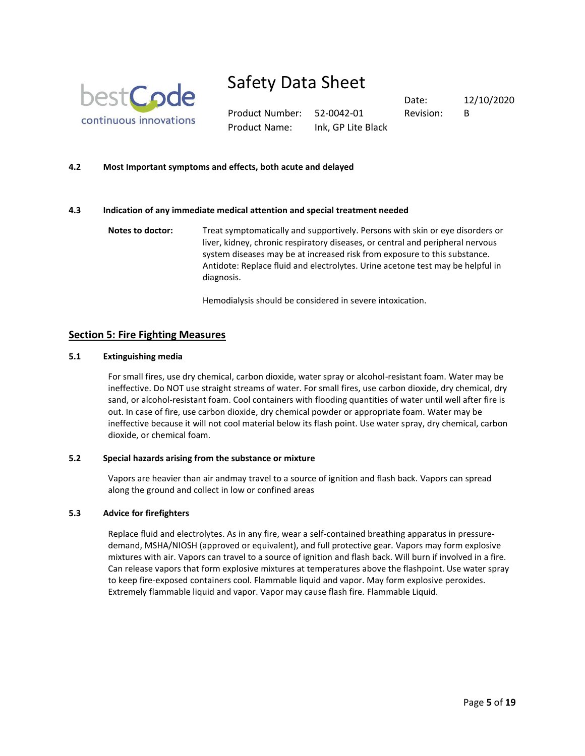

Product Number: 52-0042-01 Revision: B Product Name: Ink, GP Lite Black

Date: 12/10/2020

### **4.2 Most Important symptoms and effects, both acute and delayed**

### **4.3 Indication of any immediate medical attention and special treatment needed**

**Notes to doctor:** Treat symptomatically and supportively. Persons with skin or eye disorders or liver, kidney, chronic respiratory diseases, or central and peripheral nervous system diseases may be at increased risk from exposure to this substance. Antidote: Replace fluid and electrolytes. Urine acetone test may be helpful in diagnosis.

Hemodialysis should be considered in severe intoxication.

### **Section 5: Fire Fighting Measures**

### **5.1 Extinguishing media**

For small fires, use dry chemical, carbon dioxide, water spray or alcohol-resistant foam. Water may be ineffective. Do NOT use straight streams of water. For small fires, use carbon dioxide, dry chemical, dry sand, or alcohol-resistant foam. Cool containers with flooding quantities of water until well after fire is out. In case of fire, use carbon dioxide, dry chemical powder or appropriate foam. Water may be ineffective because it will not cool material below its flash point. Use water spray, dry chemical, carbon dioxide, or chemical foam.

#### **5.2 Special hazards arising from the substance or mixture**

Vapors are heavier than air andmay travel to a source of ignition and flash back. Vapors can spread along the ground and collect in low or confined areas

#### **5.3 Advice for firefighters**

Replace fluid and electrolytes. As in any fire, wear a self-contained breathing apparatus in pressuredemand, MSHA/NIOSH (approved or equivalent), and full protective gear. Vapors may form explosive mixtures with air. Vapors can travel to a source of ignition and flash back. Will burn if involved in a fire. Can release vapors that form explosive mixtures at temperatures above the flashpoint. Use water spray to keep fire-exposed containers cool. Flammable liquid and vapor. May form explosive peroxides. Extremely flammable liquid and vapor. Vapor may cause flash fire. Flammable Liquid.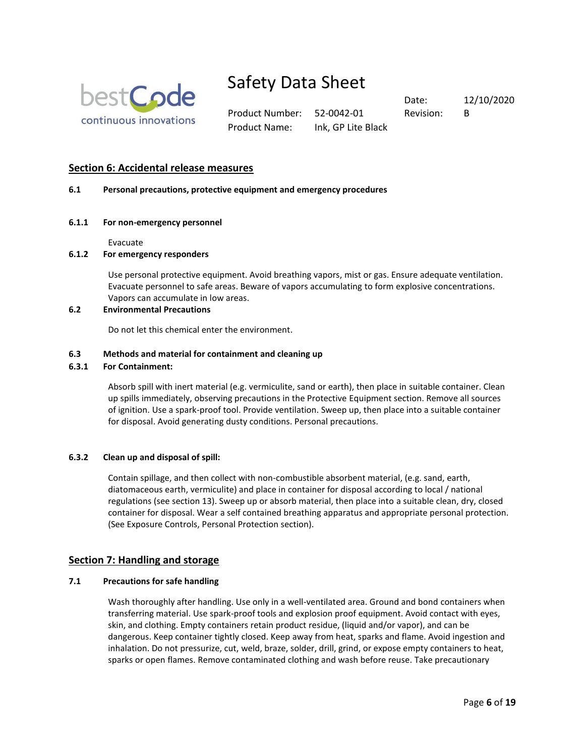

Product Number: 52-0042-01 Revision: B Product Name: Ink, GP Lite Black

Date: 12/10/2020

### **Section 6: Accidental release measures**

### **6.1 Personal precautions, protective equipment and emergency procedures**

### **6.1.1 For non-emergency personnel**

Evacuate

### **6.1.2 For emergency responders**

Use personal protective equipment. Avoid breathing vapors, mist or gas. Ensure adequate ventilation. Evacuate personnel to safe areas. Beware of vapors accumulating to form explosive concentrations. Vapors can accumulate in low areas.

### **6.2 Environmental Precautions**

Do not let this chemical enter the environment.

### **6.3 Methods and material for containment and cleaning up**

### **6.3.1 For Containment:**

Absorb spill with inert material (e.g. vermiculite, sand or earth), then place in suitable container. Clean up spills immediately, observing precautions in the Protective Equipment section. Remove all sources of ignition. Use a spark-proof tool. Provide ventilation. Sweep up, then place into a suitable container for disposal. Avoid generating dusty conditions. Personal precautions.

### **6.3.2 Clean up and disposal of spill:**

Contain spillage, and then collect with non-combustible absorbent material, (e.g. sand, earth, diatomaceous earth, vermiculite) and place in container for disposal according to local / national regulations (see section 13). Sweep up or absorb material, then place into a suitable clean, dry, closed container for disposal. Wear a self contained breathing apparatus and appropriate personal protection. (See Exposure Controls, Personal Protection section).

### **Section 7: Handling and storage**

### **7.1 Precautions for safe handling**

Wash thoroughly after handling. Use only in a well-ventilated area. Ground and bond containers when transferring material. Use spark-proof tools and explosion proof equipment. Avoid contact with eyes, skin, and clothing. Empty containers retain product residue, (liquid and/or vapor), and can be dangerous. Keep container tightly closed. Keep away from heat, sparks and flame. Avoid ingestion and inhalation. Do not pressurize, cut, weld, braze, solder, drill, grind, or expose empty containers to heat, sparks or open flames. Remove contaminated clothing and wash before reuse. Take precautionary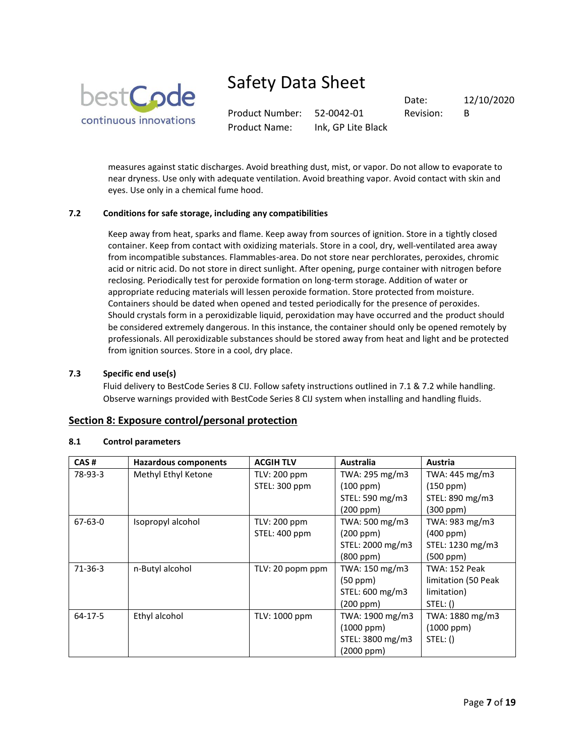

Product Number: 52-0042-01 Revision: B Product Name: Ink, GP Lite Black

Date: 12/10/2020

measures against static discharges. Avoid breathing dust, mist, or vapor. Do not allow to evaporate to near dryness. Use only with adequate ventilation. Avoid breathing vapor. Avoid contact with skin and eyes. Use only in a chemical fume hood.

### **7.2 Conditions for safe storage, including any compatibilities**

Keep away from heat, sparks and flame. Keep away from sources of ignition. Store in a tightly closed container. Keep from contact with oxidizing materials. Store in a cool, dry, well-ventilated area away from incompatible substances. Flammables-area. Do not store near perchlorates, peroxides, chromic acid or nitric acid. Do not store in direct sunlight. After opening, purge container with nitrogen before reclosing. Periodically test for peroxide formation on long-term storage. Addition of water or appropriate reducing materials will lessen peroxide formation. Store protected from moisture. Containers should be dated when opened and tested periodically for the presence of peroxides. Should crystals form in a peroxidizable liquid, peroxidation may have occurred and the product should be considered extremely dangerous. In this instance, the container should only be opened remotely by professionals. All peroxidizable substances should be stored away from heat and light and be protected from ignition sources. Store in a cool, dry place.

### **7.3 Specific end use(s)**

Fluid delivery to BestCode Series 8 CIJ. Follow safety instructions outlined in 7.1 & 7.2 while handling. Observe warnings provided with BestCode Series 8 CIJ system when installing and handling fluids.

### **Section 8: Exposure control/personal protection**

| CAS#          | Hazardous components | <b>ACGIH TLV</b> | <b>Australia</b> | Austria              |
|---------------|----------------------|------------------|------------------|----------------------|
| 78-93-3       | Methyl Ethyl Ketone  | TLV: 200 ppm     | TWA: 295 mg/m3   | TWA: 445 mg/m3       |
|               |                      | STEL: 300 ppm    | (100 ppm)        | (150 ppm)            |
|               |                      |                  | STEL: 590 mg/m3  | STEL: 890 mg/m3      |
|               |                      |                  | $(200$ ppm $)$   | $(300$ ppm $)$       |
| $67 - 63 - 0$ | Isopropyl alcohol    | TLV: 200 ppm     | TWA: 500 mg/m3   | TWA: 983 mg/m3       |
|               |                      | STEL: 400 ppm    | (200 ppm)        | $(400$ ppm $)$       |
|               |                      |                  | STEL: 2000 mg/m3 | STEL: 1230 mg/m3     |
|               |                      |                  | $(800$ ppm $)$   | (500 ppm)            |
| $71-36-3$     | n-Butyl alcohol      | TLV: 20 popm ppm | TWA: 150 mg/m3   | <b>TWA: 152 Peak</b> |
|               |                      |                  | $(50$ ppm $)$    | limitation (50 Peak  |
|               |                      |                  | STEL: 600 mg/m3  | limitation)          |
|               |                      |                  | (200 ppm)        | STEL: ()             |
| 64-17-5       | Ethyl alcohol        | TLV: 1000 ppm    | TWA: 1900 mg/m3  | TWA: 1880 mg/m3      |
|               |                      |                  | $(1000$ ppm $)$  | $(1000$ ppm $)$      |
|               |                      |                  | STEL: 3800 mg/m3 | STEL: ()             |
|               |                      |                  | (2000 ppm)       |                      |

### **8.1 Control parameters**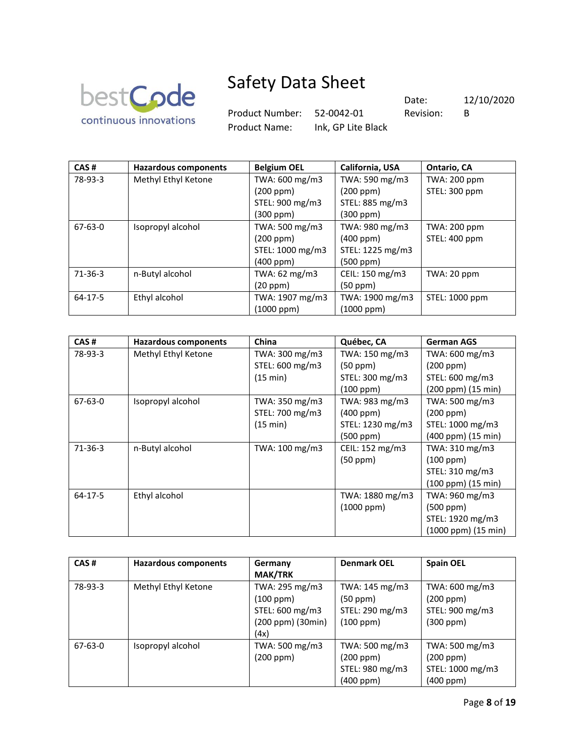

Product Number: 52-0042-01 Revision: B

Product Name: Ink, GP Lite Black

Date: 12/10/2020

| CAS#          | <b>Hazardous components</b> | <b>Belgium OEL</b> | California, USA  | Ontario, CA         |
|---------------|-----------------------------|--------------------|------------------|---------------------|
| 78-93-3       | Methyl Ethyl Ketone         | TWA: 600 mg/m3     | TWA: 590 mg/m3   | TWA: 200 ppm        |
|               |                             | (200 ppm)          | (200 ppm)        | STEL: 300 ppm       |
|               |                             | STEL: 900 mg/m3    | STEL: 885 mg/m3  |                     |
|               |                             | (300 ppm)          | (300 ppm)        |                     |
| $67 - 63 - 0$ | Isopropyl alcohol           | TWA: 500 mg/m3     | TWA: 980 mg/m3   | <b>TWA: 200 ppm</b> |
|               |                             | (200 ppm)          | (400 ppm)        | STEL: 400 ppm       |
|               |                             | STEL: 1000 mg/m3   | STEL: 1225 mg/m3 |                     |
|               |                             | $(400$ ppm $)$     | (500 ppm)        |                     |
| $71-36-3$     | n-Butyl alcohol             | TWA: 62 mg/m3      | CEIL: 150 mg/m3  | TWA: 20 ppm         |
|               |                             | (20 ppm)           | (50 ppm)         |                     |
| $64 - 17 - 5$ | Ethyl alcohol               | TWA: 1907 mg/m3    | TWA: 1900 mg/m3  | STEL: 1000 ppm      |
|               |                             | (1000 ppm)         | (1000 ppm)       |                     |

| CAS#          | <b>Hazardous components</b> | China           | Québec, CA       | <b>German AGS</b>          |
|---------------|-----------------------------|-----------------|------------------|----------------------------|
| 78-93-3       | Methyl Ethyl Ketone         | TWA: 300 mg/m3  | TWA: 150 mg/m3   | TWA: 600 mg/m3             |
|               |                             | STEL: 600 mg/m3 | (50 ppm)         | $(200$ ppm $)$             |
|               |                             | (15 min)        | STEL: 300 mg/m3  | STEL: 600 mg/m3            |
|               |                             |                 | (100 ppm)        | (200 ppm) (15 min)         |
| $67 - 63 - 0$ | Isopropyl alcohol           | TWA: 350 mg/m3  | TWA: 983 mg/m3   | TWA: 500 mg/m3             |
|               |                             | STEL: 700 mg/m3 | $(400$ ppm $)$   | (200 ppm)                  |
|               |                             | (15 min)        | STEL: 1230 mg/m3 | STEL: 1000 mg/m3           |
|               |                             |                 | (500 ppm)        | $(400$ ppm $)(15$ min $)$  |
| $71-36-3$     | n-Butyl alcohol             | TWA: 100 mg/m3  | CEIL: 152 mg/m3  | TWA: 310 mg/m3             |
|               |                             |                 | (50 ppm)         | (100 ppm)                  |
|               |                             |                 |                  | STEL: 310 mg/m3            |
|               |                             |                 |                  | (100 ppm) (15 min)         |
| 64-17-5       | Ethyl alcohol               |                 | TWA: 1880 mg/m3  | TWA: 960 mg/m3             |
|               |                             |                 | $(1000$ ppm $)$  | $(500$ ppm $)$             |
|               |                             |                 |                  | STEL: 1920 mg/m3           |
|               |                             |                 |                  | $(1000$ ppm $)(15$ min $)$ |

| CAS#    | <b>Hazardous components</b> | Germany<br><b>MAK/TRK</b>                                                   | <b>Denmark OEL</b>                                               | <b>Spain OEL</b>                                                 |
|---------|-----------------------------|-----------------------------------------------------------------------------|------------------------------------------------------------------|------------------------------------------------------------------|
| 78-93-3 | Methyl Ethyl Ketone         | TWA: 295 mg/m3<br>(100 ppm)<br>STEL: 600 mg/m3<br>(200 ppm) (30min)<br>(4x) | TWA: 145 mg/m3<br>$(50$ ppm $)$<br>STEL: 290 mg/m3<br>(100 ppm)  | TWA: 600 mg/m3<br>(200 ppm)<br>STEL: 900 mg/m3<br>$(300$ ppm $)$ |
| 67-63-0 | Isopropyl alcohol           | TWA: 500 mg/m3<br>(200 ppm)                                                 | TWA: 500 mg/m3<br>(200 ppm)<br>STEL: 980 mg/m3<br>$(400$ ppm $)$ | TWA: 500 mg/m3<br>(200 ppm)<br>STEL: 1000 mg/m3<br>(400 ppm)     |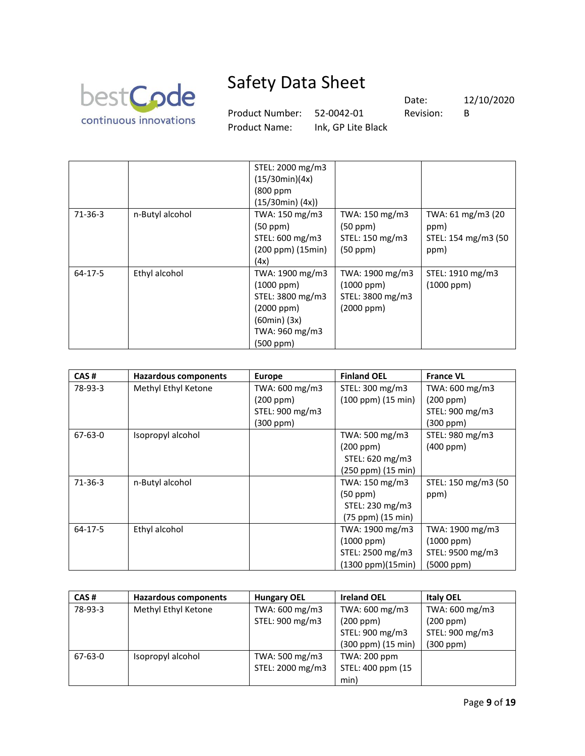

Product Number: 52-0042-01 Revision: B

Product Name: Ink, GP Lite Black

Date: 12/10/2020

|           |                 | STEL: 2000 mg/m3      |                  |                     |
|-----------|-----------------|-----------------------|------------------|---------------------|
|           |                 | (15/30min)(4x)        |                  |                     |
|           |                 | (800 ppm              |                  |                     |
|           |                 | $(15/30min)$ $(4x)$ ) |                  |                     |
| $71-36-3$ | n-Butyl alcohol | TWA: 150 mg/m3        | TWA: 150 mg/m3   | TWA: 61 mg/m3 (20   |
|           |                 | (50 ppm)              | (50 ppm)         | ppm)                |
|           |                 | STEL: 600 mg/m3       | STEL: 150 mg/m3  | STEL: 154 mg/m3 (50 |
|           |                 | (200 ppm) (15min)     | (50 ppm)         | ppm)                |
|           |                 | (4x)                  |                  |                     |
| 64-17-5   | Ethyl alcohol   | TWA: 1900 mg/m3       | TWA: 1900 mg/m3  | STEL: 1910 mg/m3    |
|           |                 | $(1000$ ppm $)$       | $(1000$ ppm $)$  | $(1000$ ppm $)$     |
|           |                 | STEL: 3800 mg/m3      | STEL: 3800 mg/m3 |                     |
|           |                 | $(2000$ ppm $)$       | $(2000$ ppm $)$  |                     |
|           |                 | (60min) (3x)          |                  |                     |
|           |                 | TWA: 960 mg/m3        |                  |                     |
|           |                 | (500 ppm)             |                  |                     |

| CAS#          | Hazardous components | <b>Europe</b>   | <b>Finland OEL</b> | <b>France VL</b>    |
|---------------|----------------------|-----------------|--------------------|---------------------|
| 78-93-3       | Methyl Ethyl Ketone  | TWA: 600 mg/m3  | STEL: 300 mg/m3    | TWA: 600 mg/m3      |
|               |                      | (200 ppm)       | (100 ppm) (15 min) | (200 ppm)           |
|               |                      | STEL: 900 mg/m3 |                    | STEL: 900 mg/m3     |
|               |                      | $(300$ ppm $)$  |                    | $(300$ ppm $)$      |
| 67-63-0       | Isopropyl alcohol    |                 | TWA: 500 mg/m3     | STEL: 980 mg/m3     |
|               |                      |                 | (200 ppm)          | $(400$ ppm $)$      |
|               |                      |                 | STEL: 620 mg/m3    |                     |
|               |                      |                 | (250 ppm) (15 min) |                     |
| $71-36-3$     | n-Butyl alcohol      |                 | TWA: 150 mg/m3     | STEL: 150 mg/m3 (50 |
|               |                      |                 | (50 ppm)           | ppm)                |
|               |                      |                 | STEL: 230 mg/m3    |                     |
|               |                      |                 | (75 ppm) (15 min)  |                     |
| $64 - 17 - 5$ | Ethyl alcohol        |                 | TWA: 1900 mg/m3    | TWA: 1900 mg/m3     |
|               |                      |                 | $(1000$ ppm $)$    | $(1000$ ppm $)$     |
|               |                      |                 | STEL: 2500 mg/m3   | STEL: 9500 mg/m3    |
|               |                      |                 | (1300 ppm)(15min)  | (5000 ppm)          |

| CAS#    | <b>Hazardous components</b> | <b>Hungary OEL</b> | <b>Ireland OEL</b>  | <b>Italy OEL</b> |
|---------|-----------------------------|--------------------|---------------------|------------------|
| 78-93-3 | Methyl Ethyl Ketone         | TWA: 600 mg/m3     | TWA: 600 mg/m3      | TWA: 600 mg/m3   |
|         |                             | STEL: 900 mg/m3    | (200 ppm)           | (200 ppm)        |
|         |                             |                    | STEL: 900 mg/m3     | STEL: 900 mg/m3  |
|         |                             |                    | (300 ppm) (15 min)  | (300 ppm)        |
| 67-63-0 | Isopropyl alcohol           | TWA: 500 mg/m3     | <b>TWA: 200 ppm</b> |                  |
|         |                             | STEL: 2000 mg/m3   | STEL: 400 ppm (15   |                  |
|         |                             |                    | min)                |                  |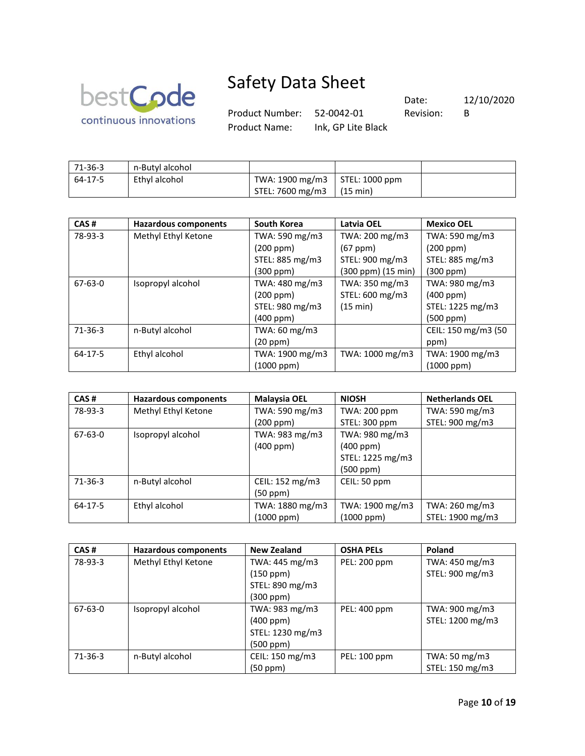

Product Number: 52-0042-01 Revision: B

Product Name: Ink, GP Lite Black

Date: 12/10/2020

| 71-36-3 | n-Butyl alcohol |                                  |                 |  |
|---------|-----------------|----------------------------------|-----------------|--|
| 64-17-5 | Ethyl alcohol   | TWA: 1900 mg/m3   STEL: 1000 ppm |                 |  |
|         |                 | STEL: 7600 mg/m3                 | $\mid$ (15 min) |  |

| CAS#          | <b>Hazardous components</b> | <b>South Korea</b> | <b>Latvia OEL</b>  | <b>Mexico OEL</b>   |
|---------------|-----------------------------|--------------------|--------------------|---------------------|
| 78-93-3       | Methyl Ethyl Ketone         | TWA: 590 mg/m3     | TWA: 200 mg/m3     | TWA: 590 mg/m3      |
|               |                             | (200 ppm)          | $(67$ ppm $)$      | (200 ppm)           |
|               |                             | STEL: 885 mg/m3    | STEL: 900 mg/m3    | STEL: 885 mg/m3     |
|               |                             | (300 ppm)          | (300 ppm) (15 min) | (300 ppm)           |
| $67 - 63 - 0$ | Isopropyl alcohol           | TWA: 480 mg/m3     | TWA: 350 mg/m3     | TWA: 980 mg/m3      |
|               |                             | (200 ppm)          | STEL: 600 mg/m3    | $(400$ ppm $)$      |
|               |                             | STEL: 980 mg/m3    | (15 min)           | STEL: 1225 mg/m3    |
|               |                             | $(400$ ppm $)$     |                    | (500 ppm)           |
| $71-36-3$     | n-Butyl alcohol             | TWA: 60 mg/m3      |                    | CEIL: 150 mg/m3 (50 |
|               |                             | (20 ppm)           |                    | ppm)                |
| $64 - 17 - 5$ | Ethyl alcohol               | TWA: 1900 mg/m3    | TWA: 1000 mg/m3    | TWA: 1900 mg/m3     |
|               |                             | (1000 ppm)         |                    | $(1000$ ppm $)$     |

| CAS#      | <b>Hazardous components</b> | <b>Malaysia OEL</b> | <b>NIOSH</b>     | <b>Netherlands OEL</b> |
|-----------|-----------------------------|---------------------|------------------|------------------------|
| 78-93-3   | Methyl Ethyl Ketone         | TWA: 590 mg/m3      | TWA: 200 ppm     | TWA: 590 mg/m3         |
|           |                             | (200 ppm)           | STEL: 300 ppm    | STEL: 900 mg/m3        |
| 67-63-0   | Isopropyl alcohol           | TWA: 983 mg/m3      | TWA: 980 mg/m3   |                        |
|           |                             | $(400$ ppm $)$      | (400 ppm)        |                        |
|           |                             |                     | STEL: 1225 mg/m3 |                        |
|           |                             |                     | (500 ppm)        |                        |
| $71-36-3$ | n-Butyl alcohol             | CEIL: 152 mg/m3     | CEIL: 50 ppm     |                        |
|           |                             | (50 ppm)            |                  |                        |
| 64-17-5   | Ethyl alcohol               | TWA: 1880 mg/m3     | TWA: 1900 mg/m3  | TWA: 260 mg/m3         |
|           |                             | (1000 ppm)          | (1000 ppm)       | STEL: 1900 mg/m3       |

| CAS#      | <b>Hazardous components</b> | <b>New Zealand</b> | <b>OSHA PELS</b> | Poland           |
|-----------|-----------------------------|--------------------|------------------|------------------|
| 78-93-3   | Methyl Ethyl Ketone         | TWA: 445 mg/m3     | PEL: 200 ppm     | TWA: 450 mg/m3   |
|           |                             | (150 ppm)          |                  | STEL: 900 mg/m3  |
|           |                             | STEL: 890 mg/m3    |                  |                  |
|           |                             | (300 ppm)          |                  |                  |
| 67-63-0   | Isopropyl alcohol           | TWA: 983 mg/m3     | PEL: 400 ppm     | TWA: 900 mg/m3   |
|           |                             | (400 ppm)          |                  | STEL: 1200 mg/m3 |
|           |                             | STEL: 1230 mg/m3   |                  |                  |
|           |                             | (500 ppm)          |                  |                  |
| $71-36-3$ | n-Butyl alcohol             | CEIL: 150 mg/m3    | PEL: 100 ppm     | TWA: 50 mg/m3    |
|           |                             | (50 ppm)           |                  | STEL: 150 mg/m3  |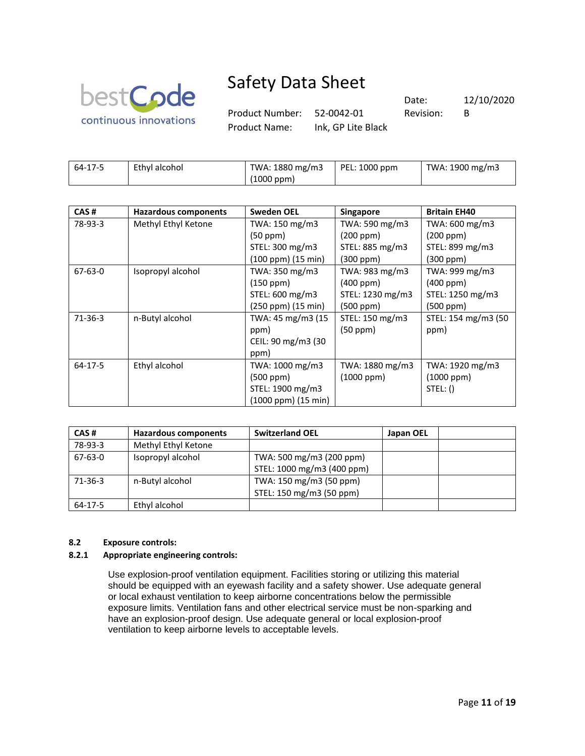

Product Number: 52-0042-01 Revision: B

Product Name: Ink, GP Lite Black

Date: 12/10/2020

| 64-17-5 | Ethyl alcohol | TWA: 1880 mg/m3 | $\vert$ PEL: 1000 ppm | TWA: 1900 mg/m3 |
|---------|---------------|-----------------|-----------------------|-----------------|
|         |               | (1000 ppm)      |                       |                 |

| CAS#          | <b>Hazardous components</b> | <b>Sweden OEL</b>   | <b>Singapore</b> | <b>Britain EH40</b> |
|---------------|-----------------------------|---------------------|------------------|---------------------|
| 78-93-3       | Methyl Ethyl Ketone         | TWA: 150 mg/m3      | TWA: 590 mg/m3   | TWA: 600 mg/m3      |
|               |                             | (50 ppm)            | (200 ppm)        | (200 ppm)           |
|               |                             | STEL: 300 mg/m3     | STEL: 885 mg/m3  | STEL: 899 mg/m3     |
|               |                             | (100 ppm) (15 min)  | $(300$ ppm $)$   | (300 ppm)           |
| $67 - 63 - 0$ | Isopropyl alcohol           | TWA: 350 mg/m3      | TWA: 983 mg/m3   | TWA: 999 mg/m3      |
|               |                             | (150 ppm)           | $(400$ ppm $)$   | $(400$ ppm $)$      |
|               |                             | STEL: 600 mg/m3     | STEL: 1230 mg/m3 | STEL: 1250 mg/m3    |
|               |                             | (250 ppm) (15 min)  | (500 ppm)        | (500 ppm)           |
| $71-36-3$     | n-Butyl alcohol             | TWA: 45 mg/m3 (15)  | STEL: 150 mg/m3  | STEL: 154 mg/m3 (50 |
|               |                             | ppm)                | (50 ppm)         | ppm)                |
|               |                             | CEIL: 90 mg/m3 (30  |                  |                     |
|               |                             | ppm)                |                  |                     |
| $64-17-5$     | Ethyl alcohol               | TWA: 1000 mg/m3     | TWA: 1880 mg/m3  | TWA: 1920 mg/m3     |
|               |                             | (500 ppm)           | $(1000$ ppm $)$  | $(1000$ ppm $)$     |
|               |                             | STEL: 1900 mg/m3    |                  | STEL: ()            |
|               |                             | (1000 ppm) (15 min) |                  |                     |

| CAS#    | Hazardous components | <b>Switzerland OEL</b>     | Japan OEL |  |
|---------|----------------------|----------------------------|-----------|--|
| 78-93-3 | Methyl Ethyl Ketone  |                            |           |  |
| 67-63-0 | Isopropyl alcohol    | TWA: 500 mg/m3 (200 ppm)   |           |  |
|         |                      | STEL: 1000 mg/m3 (400 ppm) |           |  |
| 71-36-3 | n-Butyl alcohol      | TWA: 150 mg/m3 (50 ppm)    |           |  |
|         |                      | STEL: 150 mg/m3 (50 ppm)   |           |  |
| 64-17-5 | Ethyl alcohol        |                            |           |  |

### **8.2 Exposure controls:**

### **8.2.1 Appropriate engineering controls:**

Use explosion-proof ventilation equipment. Facilities storing or utilizing this material should be equipped with an eyewash facility and a safety shower. Use adequate general or local exhaust ventilation to keep airborne concentrations below the permissible exposure limits. Ventilation fans and other electrical service must be non-sparking and have an explosion-proof design. Use adequate general or local explosion-proof ventilation to keep airborne levels to acceptable levels.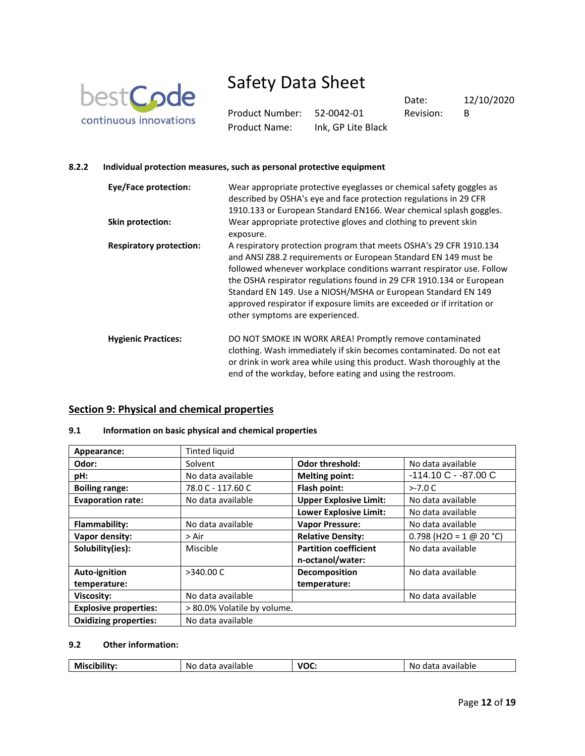

Product Number: 52-0042-01 Revision: B Product Name: Ink, GP Lite Black

Date: 12/10/2020

### **8.2.2 Individual protection measures, such as personal protective equipment**

| <b>Eye/Face protection:</b>    | Wear appropriate protective eyeglasses or chemical safety goggles as<br>described by OSHA's eye and face protection regulations in 29 CFR<br>1910.133 or European Standard EN166. Wear chemical splash goggles.                                                                                                                                                                                                                                                       |
|--------------------------------|-----------------------------------------------------------------------------------------------------------------------------------------------------------------------------------------------------------------------------------------------------------------------------------------------------------------------------------------------------------------------------------------------------------------------------------------------------------------------|
| Skin protection:               | Wear appropriate protective gloves and clothing to prevent skin<br>exposure.                                                                                                                                                                                                                                                                                                                                                                                          |
| <b>Respiratory protection:</b> | A respiratory protection program that meets OSHA's 29 CFR 1910.134<br>and ANSI Z88.2 requirements or European Standard EN 149 must be<br>followed whenever workplace conditions warrant respirator use. Follow<br>the OSHA respirator regulations found in 29 CFR 1910.134 or European<br>Standard EN 149. Use a NIOSH/MSHA or European Standard EN 149<br>approved respirator if exposure limits are exceeded or if irritation or<br>other symptoms are experienced. |
| <b>Hygienic Practices:</b>     | DO NOT SMOKE IN WORK AREA! Promptly remove contaminated<br>clothing. Wash immediately if skin becomes contaminated. Do not eat<br>or drink in work area while using this product. Wash thoroughly at the<br>end of the workday, before eating and using the restroom.                                                                                                                                                                                                 |

### **Section 9: Physical and chemical properties**

### **9.1 Information on basic physical and chemical properties**

| Appearance:                  | <b>Tinted liquid</b>        |                               |                           |
|------------------------------|-----------------------------|-------------------------------|---------------------------|
| Odor:                        | Solvent                     | <b>Odor threshold:</b>        | No data available         |
| pH:                          | No data available           | <b>Melting point:</b>         | $-114.10C - 87.00C$       |
| <b>Boiling range:</b>        | 78.0 C - 117.60 C           | Flash point:                  | $>-7.0 C$                 |
| <b>Evaporation rate:</b>     | No data available           | <b>Upper Explosive Limit:</b> | No data available         |
|                              |                             | <b>Lower Explosive Limit:</b> | No data available         |
| Flammability:                | No data available           | <b>Vapor Pressure:</b>        | No data available         |
| Vapor density:               | > Air                       | <b>Relative Density:</b>      | $0.798$ (H2O = 1 @ 20 °C) |
| Solubility(ies):             | Miscible                    | <b>Partition coefficient</b>  | No data available         |
|                              |                             | n-octanol/water:              |                           |
| Auto-ignition                | >340.00 C                   | Decomposition                 | No data available         |
| temperature:                 |                             | temperature:                  |                           |
| Viscosity:                   | No data available           |                               | No data available         |
| <b>Explosive properties:</b> | > 80.0% Volatile by volume. |                               |                           |
| <b>Oxidizing properties:</b> | No data available           |                               |                           |

### **9.2 Other information:**

| $\sim$<br>.<br>.<br>'UL<br>N<br>N/<br>M<br>pie<br>'DIE<br>v<br>.<br>.<br><br>___<br>.<br>.<br>$\sim$<br>. .<br>. |
|------------------------------------------------------------------------------------------------------------------|
|------------------------------------------------------------------------------------------------------------------|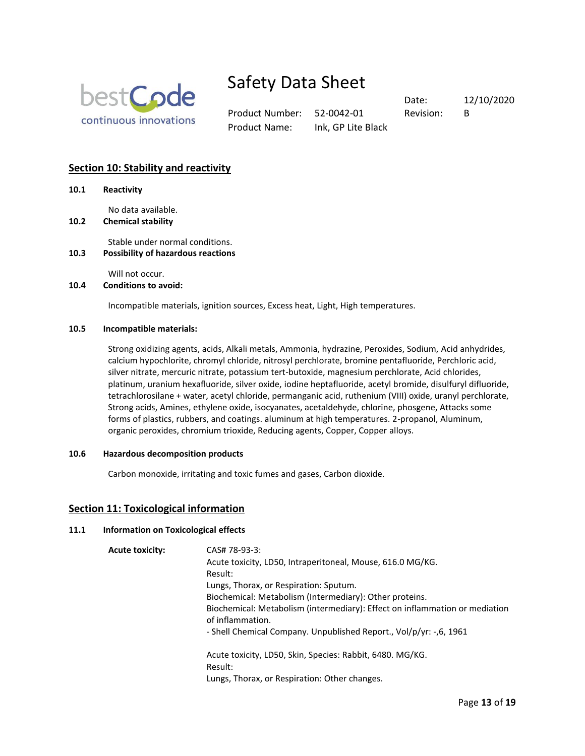

Product Number: 52-0042-01 Revision: B Product Name: Ink, GP Lite Black

Date: 12/10/2020

### **Section 10: Stability and reactivity**

**10.1 Reactivity**

No data available.

**10.2 Chemical stability**

Stable under normal conditions.

**10.3 Possibility of hazardous reactions**

Will not occur.

### **10.4 Conditions to avoid:**

Incompatible materials, ignition sources, Excess heat, Light, High temperatures.

#### **10.5 Incompatible materials:**

Strong oxidizing agents, acids, Alkali metals, Ammonia, hydrazine, Peroxides, Sodium, Acid anhydrides, calcium hypochlorite, chromyl chloride, nitrosyl perchlorate, bromine pentafluoride, Perchloric acid, silver nitrate, mercuric nitrate, potassium tert-butoxide, magnesium perchlorate, Acid chlorides, platinum, uranium hexafluoride, silver oxide, iodine heptafluoride, acetyl bromide, disulfuryl difluoride, tetrachlorosilane + water, acetyl chloride, permanganic acid, ruthenium (VIII) oxide, uranyl perchlorate, Strong acids, Amines, ethylene oxide, isocyanates, acetaldehyde, chlorine, phosgene, Attacks some forms of plastics, rubbers, and coatings. aluminum at high temperatures. 2-propanol, Aluminum, organic peroxides, chromium trioxide, Reducing agents, Copper, Copper alloys.

### **10.6 Hazardous decomposition products**

Carbon monoxide, irritating and toxic fumes and gases, Carbon dioxide.

### **Section 11: Toxicological information**

### **11.1 Information on Toxicological effects**

**Acute toxicity:** CAS# 78-93-3: Acute toxicity, LD50, Intraperitoneal, Mouse, 616.0 MG/KG. Result: Lungs, Thorax, or Respiration: Sputum. Biochemical: Metabolism (Intermediary): Other proteins. Biochemical: Metabolism (intermediary): Effect on inflammation or mediation of inflammation. - Shell Chemical Company. Unpublished Report., Vol/p/yr: -,6, 1961 Acute toxicity, LD50, Skin, Species: Rabbit, 6480. MG/KG. Result: Lungs, Thorax, or Respiration: Other changes.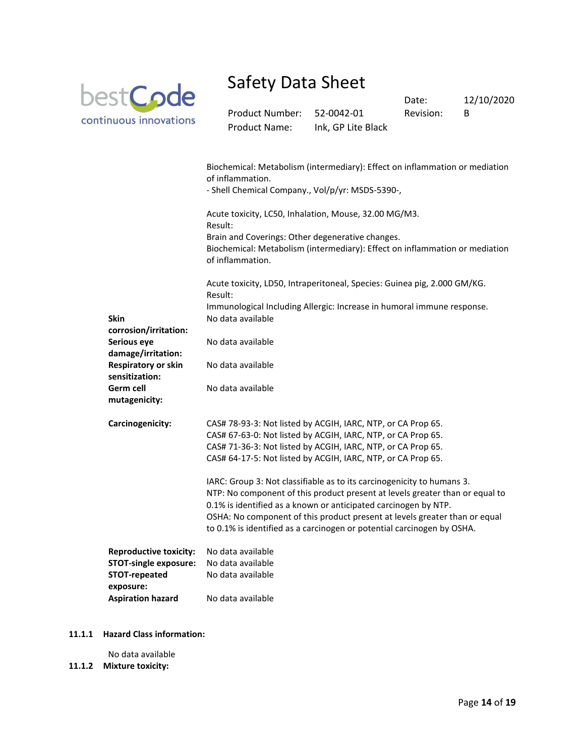

Product Number: 52-0042-01 Revision: B Product Name: Ink, GP Lite Black

Date: 12/10/2020

|                                                            | Biochemical: Metabolism (intermediary): Effect on inflammation or mediation<br>of inflammation.<br>- Shell Chemical Company., Vol/p/yr: MSDS-5390-,                                                                                                                                                                                                                               |
|------------------------------------------------------------|-----------------------------------------------------------------------------------------------------------------------------------------------------------------------------------------------------------------------------------------------------------------------------------------------------------------------------------------------------------------------------------|
|                                                            | Acute toxicity, LC50, Inhalation, Mouse, 32.00 MG/M3.<br>Result:                                                                                                                                                                                                                                                                                                                  |
|                                                            | Brain and Coverings: Other degenerative changes.<br>Biochemical: Metabolism (intermediary): Effect on inflammation or mediation<br>of inflammation.                                                                                                                                                                                                                               |
|                                                            | Acute toxicity, LD50, Intraperitoneal, Species: Guinea pig, 2.000 GM/KG.<br>Result:                                                                                                                                                                                                                                                                                               |
| <b>Skin</b>                                                | Immunological Including Allergic: Increase in humoral immune response.<br>No data available                                                                                                                                                                                                                                                                                       |
| corrosion/irritation:<br>Serious eye<br>damage/irritation: | No data available                                                                                                                                                                                                                                                                                                                                                                 |
| <b>Respiratory or skin</b><br>sensitization:               | No data available                                                                                                                                                                                                                                                                                                                                                                 |
| Germ cell<br>mutagenicity:                                 | No data available                                                                                                                                                                                                                                                                                                                                                                 |
| Carcinogenicity:                                           | CAS# 78-93-3: Not listed by ACGIH, IARC, NTP, or CA Prop 65.<br>CAS# 67-63-0: Not listed by ACGIH, IARC, NTP, or CA Prop 65.<br>CAS# 71-36-3: Not listed by ACGIH, IARC, NTP, or CA Prop 65.<br>CAS# 64-17-5: Not listed by ACGIH, IARC, NTP, or CA Prop 65.                                                                                                                      |
|                                                            | IARC: Group 3: Not classifiable as to its carcinogenicity to humans 3.<br>NTP: No component of this product present at levels greater than or equal to<br>0.1% is identified as a known or anticipated carcinogen by NTP.<br>OSHA: No component of this product present at levels greater than or equal<br>to 0.1% is identified as a carcinogen or potential carcinogen by OSHA. |
| <b>Reproductive toxicity:</b>                              | No data available                                                                                                                                                                                                                                                                                                                                                                 |
| <b>STOT-single exposure:</b>                               | No data available                                                                                                                                                                                                                                                                                                                                                                 |
| STOT-repeated<br>exposure:                                 | No data available                                                                                                                                                                                                                                                                                                                                                                 |
| <b>Aspiration hazard</b>                                   | No data available                                                                                                                                                                                                                                                                                                                                                                 |

#### **11.1.1 Hazard Class information:**

No data available

**11.1.2 Mixture toxicity:**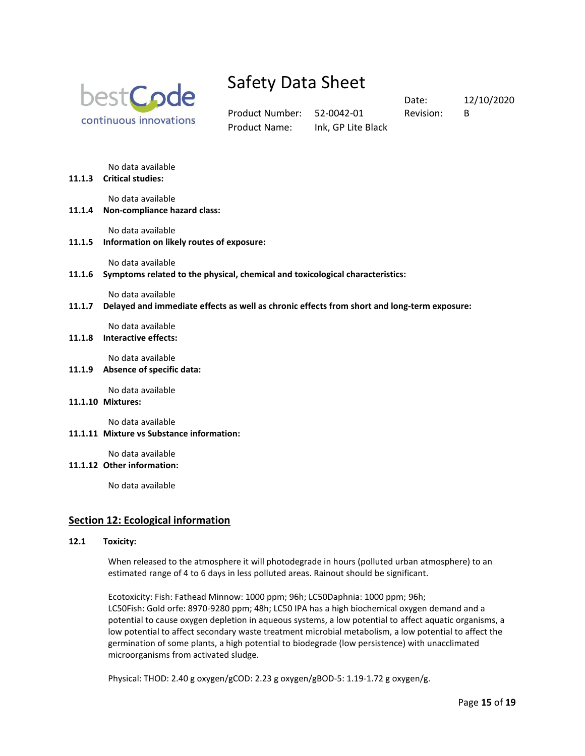

Product Number: 52-0042-01 Revision: B Product Name: Ink, GP Lite Black

Date: 12/10/2020

No data available

**11.1.3 Critical studies:** 

No data available

**11.1.4 Non-compliance hazard class:** 

No data available

**11.1.5 Information on likely routes of exposure:** 

No data available

**11.1.6 Symptoms related to the physical, chemical and toxicological characteristics:** 

No data available

**11.1.7 Delayed and immediate effects as well as chronic effects from short and long-term exposure:** 

No data available

**11.1.8 Interactive effects:** 

No data available

**11.1.9 Absence of specific data:** 

No data available

**11.1.10 Mixtures:** 

No data available

**11.1.11 Mixture vs Substance information:** 

No data available

**11.1.12 Other information:**

No data available

### **Section 12: Ecological information**

#### **12.1 Toxicity:**

When released to the atmosphere it will photodegrade in hours (polluted urban atmosphere) to an estimated range of 4 to 6 days in less polluted areas. Rainout should be significant.

Ecotoxicity: Fish: Fathead Minnow: 1000 ppm; 96h; LC50Daphnia: 1000 ppm; 96h; LC50Fish: Gold orfe: 8970-9280 ppm; 48h; LC50 IPA has a high biochemical oxygen demand and a potential to cause oxygen depletion in aqueous systems, a low potential to affect aquatic organisms, a low potential to affect secondary waste treatment microbial metabolism, a low potential to affect the germination of some plants, a high potential to biodegrade (low persistence) with unacclimated microorganisms from activated sludge.

Physical: THOD: 2.40 g oxygen/gCOD: 2.23 g oxygen/gBOD-5: 1.19-1.72 g oxygen/g.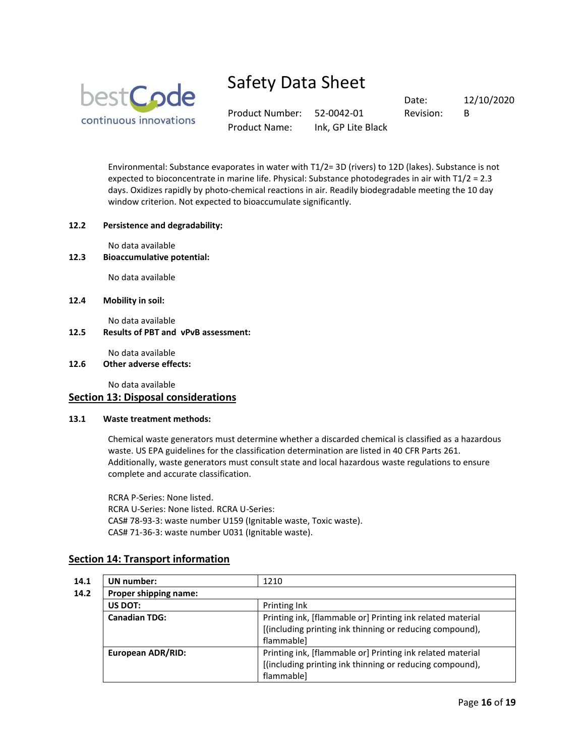

Product Number: 52-0042-01 Revision: B Product Name: Ink, GP Lite Black

Date: 12/10/2020

Environmental: Substance evaporates in water with T1/2= 3D (rivers) to 12D (lakes). Substance is not expected to bioconcentrate in marine life. Physical: Substance photodegrades in air with T1/2 = 2.3 days. Oxidizes rapidly by photo-chemical reactions in air. Readily biodegradable meeting the 10 day window criterion. Not expected to bioaccumulate significantly.

### **12.2 Persistence and degradability:**

No data available

**12.3 Bioaccumulative potential:**

No data available

**12.4 Mobility in soil:**

No data available

**12.5 Results of PBT and vPvB assessment:**

No data available

### **12.6 Other adverse effects:**

No data available

### **Section 13: Disposal considerations**

### **13.1 Waste treatment methods:**

Chemical waste generators must determine whether a discarded chemical is classified as a hazardous waste. US EPA guidelines for the classification determination are listed in 40 CFR Parts 261. Additionally, waste generators must consult state and local hazardous waste regulations to ensure complete and accurate classification.

RCRA P-Series: None listed. RCRA U-Series: None listed. RCRA U-Series: CAS# 78-93-3: waste number U159 (Ignitable waste, Toxic waste). CAS# 71-36-3: waste number U031 (Ignitable waste).

### **Section 14: Transport information**

| UN number:               | 1210                                                                                                                                 |
|--------------------------|--------------------------------------------------------------------------------------------------------------------------------------|
| Proper shipping name:    |                                                                                                                                      |
| US DOT:                  | Printing Ink                                                                                                                         |
| <b>Canadian TDG:</b>     | Printing ink, [flammable or] Printing ink related material<br>[(including printing ink thinning or reducing compound),<br>flammable] |
| <b>European ADR/RID:</b> | Printing ink, [flammable or] Printing ink related material<br>[(including printing ink thinning or reducing compound),<br>flammablel |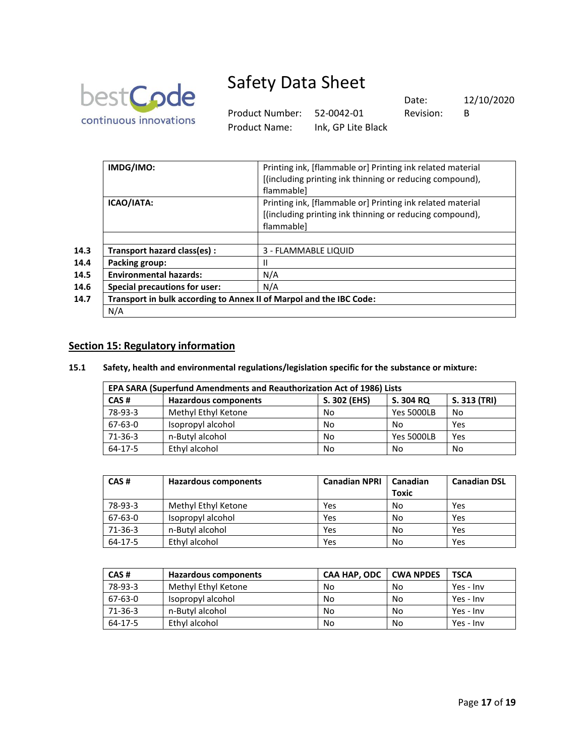

Product Number: 52-0042-01 Revision: B Product Name: Ink, GP Lite Black

Date: 12/10/2020

| IMDG/IMO:                            | Printing ink, [flammable or] Printing ink related material          |
|--------------------------------------|---------------------------------------------------------------------|
|                                      | [(including printing ink thinning or reducing compound),            |
|                                      | flammablel                                                          |
| ICAO/IATA:                           | Printing ink, [flammable or] Printing ink related material          |
|                                      | [(including printing ink thinning or reducing compound),            |
|                                      | flammable]                                                          |
|                                      |                                                                     |
| Transport hazard class(es) :         | 3 - FLAMMABLE LIQUID                                                |
| Packing group:                       | Ш                                                                   |
| <b>Environmental hazards:</b>        | N/A                                                                 |
| <b>Special precautions for user:</b> | N/A                                                                 |
|                                      | Transport in bulk according to Annex II of Marpol and the IBC Code: |
| N/A                                  |                                                                     |

### **Section 15: Regulatory information**

### **15.1 Safety, health and environmental regulations/legislation specific for the substance or mixture:**

| <b>EPA SARA (Superfund Amendments and Reauthorization Act of 1986) Lists</b> |                             |              |                   |              |  |
|------------------------------------------------------------------------------|-----------------------------|--------------|-------------------|--------------|--|
| CAS#                                                                         | <b>Hazardous components</b> | S. 302 (EHS) | S. 304 RQ         | S. 313 (TRI) |  |
| 78-93-3                                                                      | Methyl Ethyl Ketone         | No           | <b>Yes 5000LB</b> | No           |  |
| 67-63-0                                                                      | Isopropyl alcohol           | No           | No                | Yes          |  |
| $71-36-3$                                                                    | n-Butyl alcohol             | No           | <b>Yes 5000LB</b> | Yes          |  |
| 64-17-5                                                                      | Ethyl alcohol               | No           | No                | No           |  |

| CAS#    | <b>Hazardous components</b> | <b>Canadian NPRI</b> | Canadian<br><b>Toxic</b> | <b>Canadian DSL</b> |
|---------|-----------------------------|----------------------|--------------------------|---------------------|
| 78-93-3 | Methyl Ethyl Ketone         | Yes                  | No                       | Yes                 |
| 67-63-0 | Isopropyl alcohol           | Yes                  | No                       | Yes                 |
| 71-36-3 | n-Butyl alcohol             | Yes                  | No                       | Yes                 |
| 64-17-5 | Ethyl alcohol               | Yes                  | No                       | Yes                 |

| CAS#      | <b>Hazardous components</b> | <b>CAA HAP, ODC</b> | <b>CWA NPDES</b> | <b>TSCA</b> |
|-----------|-----------------------------|---------------------|------------------|-------------|
| 78-93-3   | Methyl Ethyl Ketone         | No                  | No               | Yes - Inv   |
| 67-63-0   | Isopropyl alcohol           | No                  | No               | Yes - Inv   |
| $71-36-3$ | n-Butyl alcohol             | No                  | No               | Yes - Inv   |
| 64-17-5   | Ethyl alcohol               | No                  | No               | Yes - Inv   |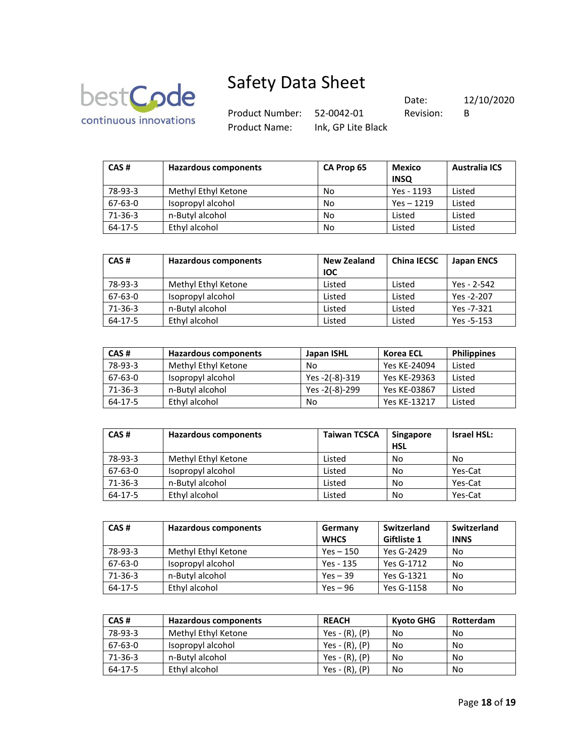

Product Number: 52-0042-01 Revision

Date: 12/10/2020

Product Name: Ink, GP Lite Black

| sion: | в |  |
|-------|---|--|
|       |   |  |

| CAS#    | <b>Hazardous components</b> | CA Prop 65 | <b>Mexico</b><br><b>INSQ</b> | <b>Australia ICS</b> |
|---------|-----------------------------|------------|------------------------------|----------------------|
| 78-93-3 | Methyl Ethyl Ketone         | No         | Yes - 1193                   | Listed               |
| 67-63-0 | Isopropyl alcohol           | No         | $Yes - 1219$                 | Listed               |
| 71-36-3 | n-Butyl alcohol             | No         | Listed                       | Listed               |
| 64-17-5 | Ethyl alcohol               | No         | Listed                       | Listed               |

| CAS#          | Hazardous components | <b>New Zealand</b><br><b>IOC</b> | <b>China IECSC</b> | <b>Japan ENCS</b> |
|---------------|----------------------|----------------------------------|--------------------|-------------------|
| 78-93-3       | Methyl Ethyl Ketone  | Listed                           | Listed             | Yes - 2-542       |
| 67-63-0       | Isopropyl alcohol    | Listed                           | Listed             | Yes -2-207        |
| $71 - 36 - 3$ | n-Butyl alcohol      | Listed                           | Listed             | Yes -7-321        |
| $64 - 17 - 5$ | Ethyl alcohol        | Listed                           | Listed             | Yes -5-153        |

| CAS#      | <b>Hazardous components</b> | Japan ISHL     | Korea ECL    | <b>Philippines</b> |
|-----------|-----------------------------|----------------|--------------|--------------------|
| 78-93-3   | Methyl Ethyl Ketone         | No             | Yes KE-24094 | Listed             |
| $67-63-0$ | Isopropyl alcohol           | Yes -2(-8)-319 | Yes KE-29363 | Listed             |
| 71-36-3   | n-Butyl alcohol             | Yes -2(-8)-299 | Yes KE-03867 | Listed             |
| 64-17-5   | Ethyl alcohol               | No             | Yes KE-13217 | Listed             |

| CAS#          | Hazardous components | <b>Taiwan TCSCA</b> | <b>Singapore</b><br><b>HSL</b> | Israel HSL: |
|---------------|----------------------|---------------------|--------------------------------|-------------|
| 78-93-3       | Methyl Ethyl Ketone  | Listed              | No                             | No          |
| 67-63-0       | Isopropyl alcohol    | Listed              | No                             | Yes-Cat     |
| $71 - 36 - 3$ | n-Butyl alcohol      | Listed              | No                             | Yes-Cat     |
| 64-17-5       | Ethyl alcohol        | Listed              | No                             | Yes-Cat     |

| CAS#    | <b>Hazardous components</b> | Germany<br><b>WHCS</b> | Switzerland<br>Giftliste 1 | Switzerland<br><b>INNS</b> |
|---------|-----------------------------|------------------------|----------------------------|----------------------------|
| 78-93-3 | Methyl Ethyl Ketone         | $Yes - 150$            | Yes G-2429                 | No                         |
| 67-63-0 | Isopropyl alcohol           | Yes - 135              | Yes G-1712                 | No                         |
| 71-36-3 | n-Butyl alcohol             | $Yes - 39$             | Yes G-1321                 | No                         |
| 64-17-5 | Ethyl alcohol               | Yes $-96$              | Yes G-1158                 | No                         |

| CAS#          | <b>Hazardous components</b> | <b>REACH</b>     | <b>Kyoto GHG</b> | <b>Rotterdam</b> |
|---------------|-----------------------------|------------------|------------------|------------------|
| 78-93-3       | Methyl Ethyl Ketone         | $Yes - (R), (P)$ | No               | No               |
| $67 - 63 - 0$ | Isopropyl alcohol           | $Yes - (R), (P)$ | No.              | No               |
| 71-36-3       | n-Butyl alcohol             | $Yes - (R), (P)$ | No.              | No               |
| 64-17-5       | Ethyl alcohol               | Yes - (R), (P)   | No               | No               |